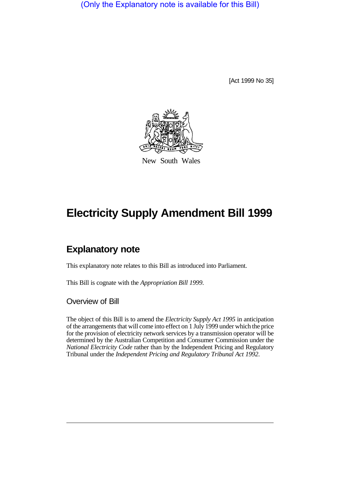(Only the Explanatory note is available for this Bill)

[Act 1999 No 35]



New South Wales

## **Electricity Supply Amendment Bill 1999**

## **Explanatory note**

This explanatory note relates to this Bill as introduced into Parliament.

This Bill is cognate with the *Appropriation Bill 1999*.

Overview of Bill

The object of this Bill is to amend the *Electricity Supply Act 1995* in anticipation of the arrangements that will come into effect on 1 July 1999 under which the price for the provision of electricity network services by a transmission operator will be determined by the Australian Competition and Consumer Commission under the *National Electricity Code* rather than by the Independent Pricing and Regulatory Tribunal under the *Independent Pricing and Regulatory Tribunal Act 1992*.